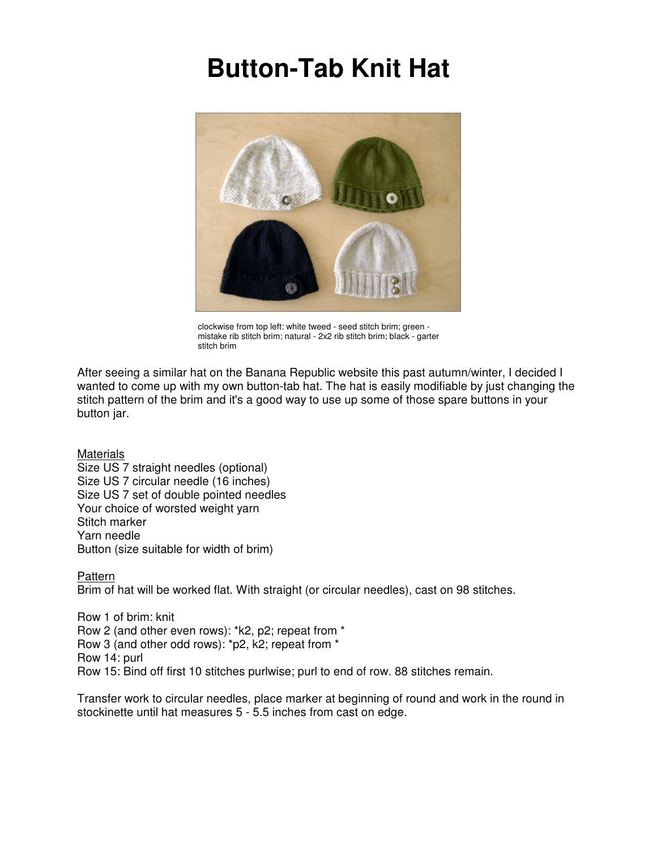## **Button-Tab Knit Hat**



clockwise from top left: white tweed - seed stitch brim; green mistake rib stitch brim; natural - 2x2 rib stitch brim; black - garter stitch brim

After seeing a similar hat on the Banana Republic website this past autumn/winter, I decided I wanted to come up with my own button-tab hat. The hat is easily modifiable by just changing the stitch pattern of the brim and it's a good way to use up some of those spare buttons in your button jar.

**Materials** Size US 7 straight needles (optional) Size US 7 circular needle (16 inches) Size US 7 set of double pointed needles Your choice of worsted weight yarn Stitch marker Yarn needle Button (size suitable for width of brim)

## Pattern

Brim of hat will be worked flat. With straight (or circular needles), cast on 98 stitches.

Row 1 of brim: knit Row 2 (and other even rows): \*k2, p2; repeat from \* Row 3 (and other odd rows): \*p2, k2; repeat from \* Row 14: purl Row 15: Bind off first 10 stitches purlwise; purl to end of row. 88 stitches remain.

Transfer work to circular needles, place marker at beginning of round and work in the round in stockinette until hat measures 5 - 5.5 inches from cast on edge.